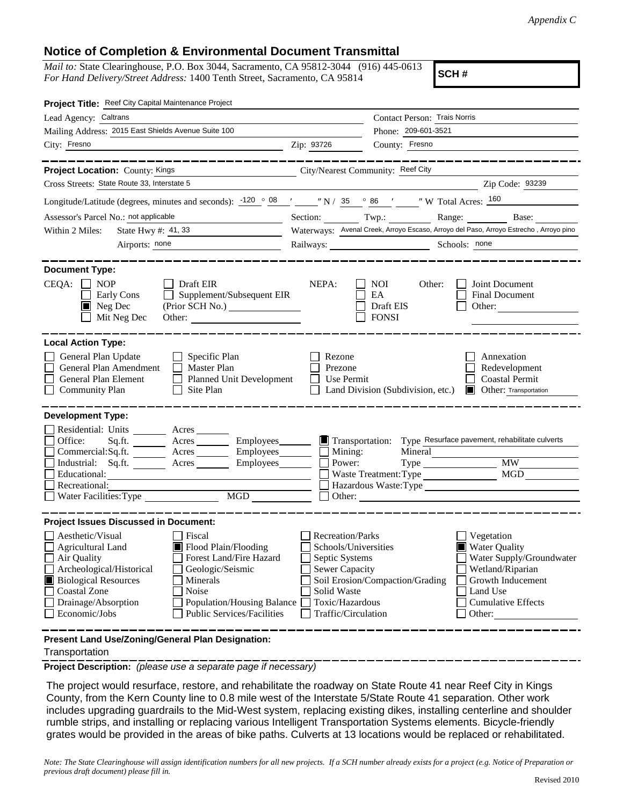## **Notice of Completion & Environmental Document Transmittal**

*Mail to:* State Clearinghouse, P.O. Box 3044, Sacramento, CA 95812-3044 (916) 445-0613 *For Hand Delivery/Street Address:* 1400 Tenth Street, Sacramento, CA 95814

**SCH #**

| Project Title: Reef City Capital Maintenance Project                                                                                                                                                                                                                                                                                                                                                                                                                                                                                                                                                                            |                                                                                                                                                     |                                                                                                                                                                                                                                                                              |  |  |
|---------------------------------------------------------------------------------------------------------------------------------------------------------------------------------------------------------------------------------------------------------------------------------------------------------------------------------------------------------------------------------------------------------------------------------------------------------------------------------------------------------------------------------------------------------------------------------------------------------------------------------|-----------------------------------------------------------------------------------------------------------------------------------------------------|------------------------------------------------------------------------------------------------------------------------------------------------------------------------------------------------------------------------------------------------------------------------------|--|--|
| Lead Agency: Caltrans                                                                                                                                                                                                                                                                                                                                                                                                                                                                                                                                                                                                           |                                                                                                                                                     | Contact Person: Trais Norris                                                                                                                                                                                                                                                 |  |  |
| Mailing Address: 2015 East Shields Avenue Suite 100                                                                                                                                                                                                                                                                                                                                                                                                                                                                                                                                                                             |                                                                                                                                                     | Phone: 209-601-3521                                                                                                                                                                                                                                                          |  |  |
| City: Fresno<br><u> 1989 - Johann Stoff, amerikansk politiker (</u> † 1908)                                                                                                                                                                                                                                                                                                                                                                                                                                                                                                                                                     | Zip: 93726                                                                                                                                          | County: Fresno                                                                                                                                                                                                                                                               |  |  |
| __________                                                                                                                                                                                                                                                                                                                                                                                                                                                                                                                                                                                                                      |                                                                                                                                                     | -----------------                                                                                                                                                                                                                                                            |  |  |
| Project Location: County: Kings                                                                                                                                                                                                                                                                                                                                                                                                                                                                                                                                                                                                 |                                                                                                                                                     | City/Nearest Community: Reef City                                                                                                                                                                                                                                            |  |  |
| Cross Streets: State Route 33, Interstate 5                                                                                                                                                                                                                                                                                                                                                                                                                                                                                                                                                                                     |                                                                                                                                                     | Zip Code: 93239                                                                                                                                                                                                                                                              |  |  |
| Longitude/Latitude (degrees, minutes and seconds): $\frac{-120}{9}$ $\frac{08}{120}$ $\frac{08}{120}$ $\frac{08}{120}$ $\frac{08}{120}$ $\frac{08}{120}$ $\frac{08}{120}$ $\frac{08}{120}$ $\frac{08}{120}$ $\frac{08}{120}$ $\frac{08}{120}$ $\frac{08}{120}$ $\frac{08}{120}$ $\$                                                                                                                                                                                                                                                                                                                                             |                                                                                                                                                     |                                                                                                                                                                                                                                                                              |  |  |
| Assessor's Parcel No.: not applicable                                                                                                                                                                                                                                                                                                                                                                                                                                                                                                                                                                                           |                                                                                                                                                     | Section: Twp.: Range: Base:                                                                                                                                                                                                                                                  |  |  |
| State Hwy $\#$ : 41, 33<br>Within 2 Miles:                                                                                                                                                                                                                                                                                                                                                                                                                                                                                                                                                                                      |                                                                                                                                                     | Waterways: Avenal Creek, Arroyo Escaso, Arroyo del Paso, Arroyo Estrecho, Arroyo pino                                                                                                                                                                                        |  |  |
| Airports: none<br><u> 1980 - Jan Barbara Barbara, prima politik</u>                                                                                                                                                                                                                                                                                                                                                                                                                                                                                                                                                             |                                                                                                                                                     | Railways: Schools: none                                                                                                                                                                                                                                                      |  |  |
| <b>Document Type:</b><br>CEQA:<br>$\blacksquare$ NOP<br>Draft EIR<br>Supplement/Subsequent EIR<br>Early Cons<br>$\blacksquare$ Neg Dec                                                                                                                                                                                                                                                                                                                                                                                                                                                                                          | NEPA:                                                                                                                                               | NOI<br>Other:<br>Joint Document<br>EA<br>Final Document<br>Draft EIS<br>Other:                                                                                                                                                                                               |  |  |
| Mit Neg Dec<br>Other:                                                                                                                                                                                                                                                                                                                                                                                                                                                                                                                                                                                                           |                                                                                                                                                     | <b>FONSI</b>                                                                                                                                                                                                                                                                 |  |  |
| <b>Local Action Type:</b><br>General Plan Update<br>$\Box$ Specific Plan<br>General Plan Amendment<br><b>Master Plan</b><br>$\perp$<br>General Plan Element<br><b>Planned Unit Development</b><br>$\Box$<br><b>Community Plan</b><br>Site Plan<br>$\perp$<br><b>Development Type:</b><br>Residential: Units _________ Acres _______<br>Office:<br>Acres __________ Employees________<br>Sq.fit.<br>Acres __________ Employees________<br>Commercial:Sq.ft.<br>Industrial: Sq.ft.<br>Employees_______<br>Acres<br>Educational:<br>Recreational:<br>MGD<br>Water Facilities: Type<br><b>Project Issues Discussed in Document:</b> | Rezone<br>Prezone<br>Use Permit<br>$\blacksquare$ Transportation:<br>Mining:<br>Power:                                                              | Annexation<br>Redevelopment<br><b>Coastal Permit</b><br>Land Division (Subdivision, etc.)<br><b>Other:</b> Transportation<br>Type Resurface pavement, rehabilitate culverts<br>Mineral<br><b>MW</b><br>MGD<br>Waste Treatment: Type<br>Hazardous Waste:Type<br>$\Box$ Other: |  |  |
| Aesthetic/Visual<br>Fiscal<br>Flood Plain/Flooding<br><b>Agricultural Land</b><br>Forest Land/Fire Hazard<br>Air Quality<br>Archeological/Historical<br>Geologic/Seismic<br><b>Biological Resources</b><br>Minerals<br>Noise<br><b>Coastal Zone</b><br>Drainage/Absorption<br><b>Population/Housing Balance</b><br><b>Public Services/Facilities</b><br>Economic/Jobs                                                                                                                                                                                                                                                           | <b>Recreation/Parks</b><br>Schools/Universities<br>Septic Systems<br><b>Sewer Capacity</b><br>Solid Waste<br>Toxic/Hazardous<br>Traffic/Circulation | Vegetation<br><b>Water Quality</b><br>Water Supply/Groundwater<br>Wetland/Riparian<br>Soil Erosion/Compaction/Grading<br>Growth Inducement<br>Land Use<br><b>Cumulative Effects</b><br>Other:                                                                                |  |  |
| Present Land Use/Zoning/General Plan Designation:                                                                                                                                                                                                                                                                                                                                                                                                                                                                                                                                                                               |                                                                                                                                                     |                                                                                                                                                                                                                                                                              |  |  |

Transportation

**Project Description:** *(please use a separate page if necessary)*

 The project would resurface, restore, and rehabilitate the roadway on State Route 41 near Reef City in Kings County, from the Kern County line to 0.8 mile west of the Interstate 5/State Route 41 separation. Other work includes upgrading guardrails to the Mid-West system, replacing existing dikes, installing centerline and shoulder rumble strips, and installing or replacing various Intelligent Transportation Systems elements. Bicycle-friendly grates would be provided in the areas of bike paths. Culverts at 13 locations would be replaced or rehabilitated.

*Note: The State Clearinghouse will assign identification numbers for all new projects. If a SCH number already exists for a project (e.g. Notice of Preparation or previous draft document) please fill in.*